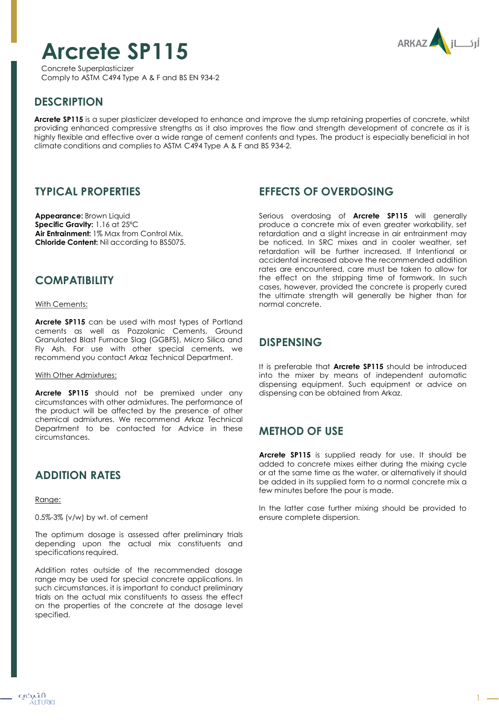# **Arcrete SP115**

Concrete Superplasticizer Comply to ASTM C494 Type A & F and BS EN 934-2



## **DESCRIPTION**

**Arcrete SP115** is a super plasticizer developed to enhance and improve the slump retaining properties of concrete, whilst providing enhanced compressive strengths as it also improves the flow and strength development of concrete as it is highly flexible and effective over a wide range of cement contents and types. The product is especially beneficial in hot climate conditions and complies to ASTM C494 Type A & F and BS 934-2.

#### **TYPICAL PROPERTIES**

**Appearance:** Brown Liquid **Specific Gravity:** 1.16 at 25ºC **Air Entrainment:** 1% Max from Control Mix. **Chloride Content:** Nil according to BS5075.

### **COMPATIBILITY**

With Cements:

**Arcrete SP115** can be used with most types of Portland cements as well as Pozzolanic Cements, Ground Granulated Blast Furnace Slag (GGBFS), Micro Silica and Fly Ash. For use with other special cements, we recommend you contact Arkaz Technical Department.

#### With Other Admixtures:

**Arcrete SP115** should not be premixed under any circumstances with other admixtures. The performance of the product will be affected by the presence of other chemical admixtures. We recommend Arkaz Technical Department to be contacted for Advice in these circumstances.

# **ADDITION RATES**

Range:

0.5%-3% (v/w) by wt. of cement

The optimum dosage is assessed after preliminary trials depending upon the actual mix constituents and specifications required.

Addition rates outside of the recommended dosage range may be used for special concrete applications. In such circumstances, it is important to conduct preliminary trials on the actual mix constituents to assess the effect on the properties of the concrete at the dosage level specified.

### **EFFECTS OF OVERDOSING**

Serious overdosing of **Arcrete SP115** will generally produce a concrete mix of even greater workability, set retardation and a slight increase in air entrainment may be noticed. In SRC mixes and in cooler weather, set retardation will be further increased. If Intentional or accidental increased above the recommended addition rates are encountered, care must be taken to allow for the effect on the stripping time of formwork. In such cases, however, provided the concrete is properly cured the ultimate strength will generally be higher than for normal concrete.

## **DISPENSING**

It is preferable that **Arcrete SP115** should be introduced into the mixer by means of independent automatic dispensing equipment. Such equipment or advice on dispensing can be obtained from Arkaz.

# **METHOD OF USE**

**Arcrete SP115** is supplied ready for use. It should be added to concrete mixes either during the mixing cycle or at the same time as the water, or alternatively it should be added in its supplied form to a normal concrete mix a few minutes before the pour is made.

In the latter case further mixing should be provided to ensure complete dispersion.